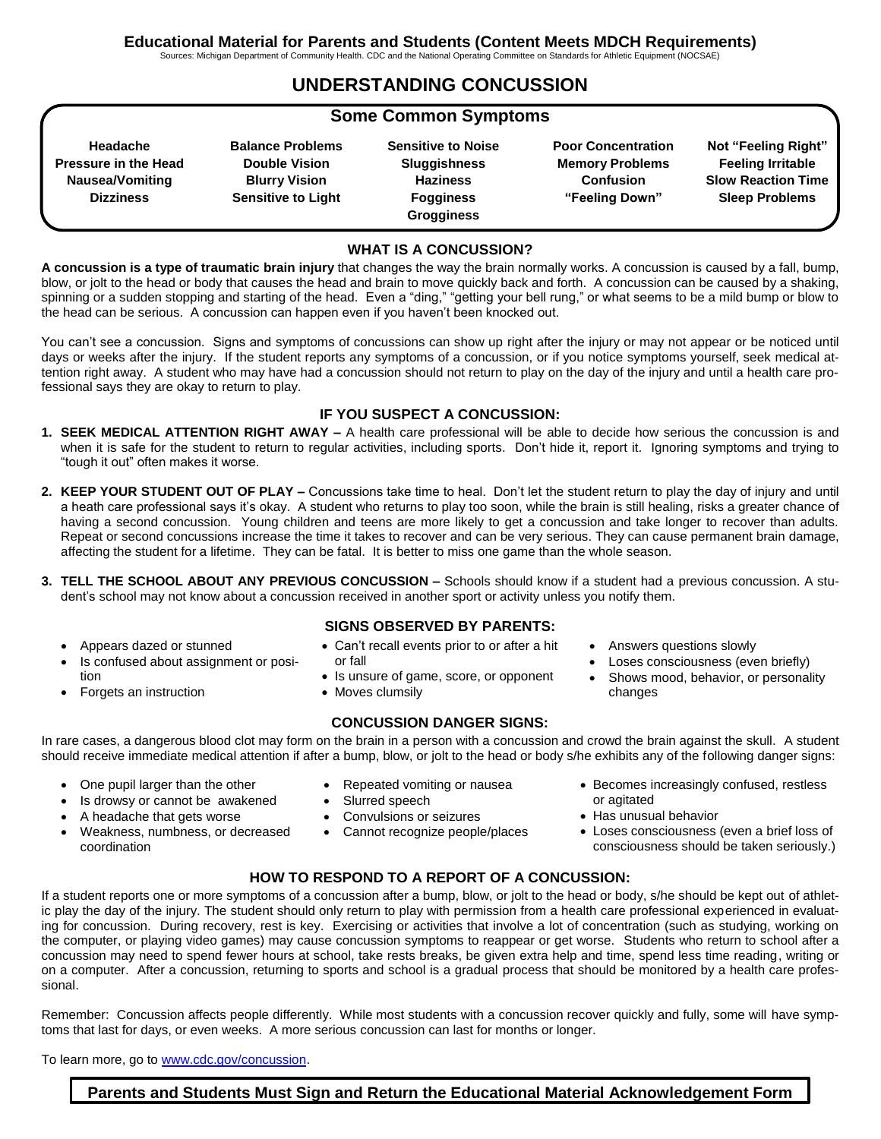Sources: Michigan Department of Community Health. CDC and the National Operating Committee on Standards for Athletic Equipment (NOCSAE)

## **UNDERSTANDING CONCUSSION**

## **Some Common Symptoms**

**Headache Pressure in the Head Nausea/Vomiting Dizziness**

**Balance Problems Double Vision Blurry Vision Sensitive to Light**

**Sensitive to Noise Sluggishness Haziness Fogginess Grogginess**

**Poor Concentration Memory Problems Confusion "Feeling Down"**

**Not "Feeling Right" Feeling Irritable Slow Reaction Time Sleep Problems**

#### **WHAT IS A CONCUSSION?**

**A concussion is a type of traumatic brain injury** that changes the way the brain normally works. A concussion is caused by a fall, bump, blow, or jolt to the head or body that causes the head and brain to move quickly back and forth. A concussion can be caused by a shaking, spinning or a sudden stopping and starting of the head. Even a "ding," "getting your bell rung," or what seems to be a mild bump or blow to the head can be serious. A concussion can happen even if you haven't been knocked out.

You can't see a concussion. Signs and symptoms of concussions can show up right after the injury or may not appear or be noticed until days or weeks after the injury. If the student reports any symptoms of a concussion, or if you notice symptoms yourself, seek medical attention right away. A student who may have had a concussion should not return to play on the day of the injury and until a health care professional says they are okay to return to play.

#### **IF YOU SUSPECT A CONCUSSION:**

- **1. SEEK MEDICAL ATTENTION RIGHT AWAY –** A health care professional will be able to decide how serious the concussion is and when it is safe for the student to return to regular activities, including sports. Don't hide it, report it. Ignoring symptoms and trying to "tough it out" often makes it worse.
- **2. KEEP YOUR STUDENT OUT OF PLAY –** Concussions take time to heal. Don't let the student return to play the day of injury and until a heath care professional says it's okay. A student who returns to play too soon, while the brain is still healing, risks a greater chance of having a second concussion. Young children and teens are more likely to get a concussion and take longer to recover than adults. Repeat or second concussions increase the time it takes to recover and can be very serious. They can cause permanent brain damage, affecting the student for a lifetime. They can be fatal. It is better to miss one game than the whole season.
- **3. TELL THE SCHOOL ABOUT ANY PREVIOUS CONCUSSION –** Schools should know if a student had a previous concussion. A student's school may not know about a concussion received in another sport or activity unless you notify them.
	- Appears dazed or stunned
	- Is confused about assignment or position
	- Forgets an instruction
- **SIGNS OBSERVED BY PARENTS:**
- Can't recall events prior to or after a hit or fall
- Is unsure of game, score, or opponent
- Moves clumsily

#### **CONCUSSION DANGER SIGNS:**

In rare cases, a dangerous blood clot may form on the brain in a person with a concussion and crowd the brain against the skull. A student should receive immediate medical attention if after a bump, blow, or jolt to the head or body s/he exhibits any of the following danger signs:

- One pupil larger than the other
- Repeated vomiting or nausea
	- Slurred speech
	- Convulsions or seizures
	- Cannot recognize people/places
- Answers questions slowly
- Loses consciousness (even briefly)
- Shows mood, behavior, or personality changes

- - Is drowsy or cannot be awakened
- A headache that gets worse
- Weakness, numbness, or decreased coordination
- Becomes increasingly confused, restless or agitated
	- Has unusual behavior
	- Loses consciousness (even a brief loss of consciousness should be taken seriously.)

### **HOW TO RESPOND TO A REPORT OF A CONCUSSION:**

If a student reports one or more symptoms of a concussion after a bump, blow, or jolt to the head or body, s/he should be kept out of athletic play the day of the injury. The student should only return to play with permission from a health care professional experienced in evaluating for concussion. During recovery, rest is key. Exercising or activities that involve a lot of concentration (such as studying, working on the computer, or playing video games) may cause concussion symptoms to reappear or get worse. Students who return to school after a concussion may need to spend fewer hours at school, take rests breaks, be given extra help and time, spend less time reading, writing or on a computer. After a concussion, returning to sports and school is a gradual process that should be monitored by a health care professional.

Remember: Concussion affects people differently. While most students with a concussion recover quickly and fully, some will have symptoms that last for days, or even weeks. A more serious concussion can last for months or longer.

To learn more, go to [www.cdc.gov/concussion.](http://www.cdc.gov/concussion)

**Parents and Students Must Sign and Return the Educational Material Acknowledgement Form**